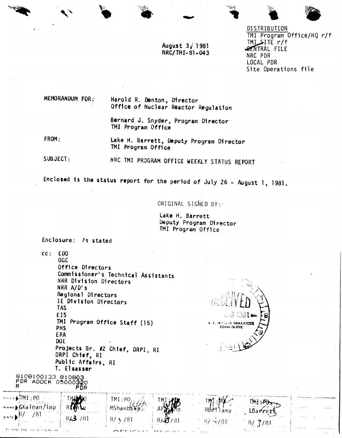

August  $3/1981$ NRC/TMI-81-043

DISTRIBUTION TMI Program Office/HQ r/f  $IML$  $I\bar{E}$  r/f **SENTRAL FILE** NRC PDR LOCAL PDR Site Operations file

MEMORANDUM FOR:

Harold R. Denton, Director Office of Nuclear Reactor Regulation

Bernard J. Snyder, Program Director TMI Program Office

FROM: Lake H. Barrett, Deputy Program Director TMI Program Office

SUBJECT: NRC TMI PROGRAM OFFICE WEEKLY STATUS REPORT

Enclosed is the status report for the period of July 26 - August 1, 1981.

ORIGINAL SIGNED BY:

Lake H. Barrett Deputy Program Director TMI Program Office

Enclosure: As stated

T. Elsasser

B10B100133 B10B03<br>PDR ADOCK 05000320

R

 $cc: EDO$ **OGC** Office Directors Commissioner's Technical Assistants NRR Division Directors NRR A/D's Regional Directors IE Division Directors **TAS EIS** TMI Program Office Staff (15) PHS **EPA** DO<sub>E</sub> Projects Br. #2 Chief, DRPI, RI DRPI Chief, RI Public Affairs, RI



|                                                                                              | ------                                    |                 |                                   |                               |                                                     |                                                             |
|----------------------------------------------------------------------------------------------|-------------------------------------------|-----------------|-----------------------------------|-------------------------------|-----------------------------------------------------|-------------------------------------------------------------|
| $\cdot$ DP1: $1$ MT $\leftrightarrow$<br>~~~r♪GKa lman/lmp_                                  |                                           | $\pm$ TMI : PO. |                                   | RBA<br>amv                    | $\cdots$                                            | $\mathbf{v} = \mathbf{v} + \mathbf{v} + \mathbf{v}$         |
| $\mathbb{R}^{\mathbf{N} \times \mathbf{N}}$<br>181<br><b>Contractor</b><br><b>All Street</b> | <b>Contractor</b><br><b>Service</b> Story | $\sim$ $\sim$   |                                   |                               | $\cdots$                                            | <b>Service</b>                                              |
| <b>LESSAN THE SPEED KNOW COUNTY</b>                                                          |                                           |                 | and the process of the control of | <b>The State of Contracts</b> | and the company's<br>Alberta Co<br>The Common State | contractor and<br>$\alpha$ , $\alpha$ , $\alpha$ , $\alpha$ |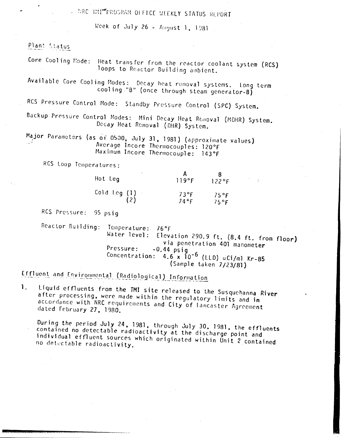ARC THITTPROGRAM OFFICE MEEKLY STATUS REPORT

Week of July 26 - August 1, 1981.

Plant Status

Core Cooling Mode: Heat transfer from the reactor coolant system (RCS) loops to Reactor Building ambient.

Available Core Cooling Modes: Decay heat removal systems. Long term cooling "B" (once through steam generator-B)

RCS Pressure Control Mode: Standby Pressure Control (SPC) System.

Backup Pressure Control Modes: Mini Decay Heat Removal (MDHR) System. Decay Heat Removal (DHR) System.

Major Parameters (as of 0500, July 31, 1981) (approximate values) Average Incore Thermocouples: 120°F Maximum Incore Thermocouple: 143°F

RCS Loop Temperatures:

| ٠<br>Hot Leg | 119°F | 122°F |
|--------------|-------|-------|
| Cold Leg (1) | 73°F  | 75°F  |
| (2)          | 74°F  | 75°F  |

RCS Pressure: 95 psig

Reactor Building: Temperature: 76°F Water level: Elevation 290.9 ft. (8.4 ft. from floor) via penetration 401 manometer Pressure:  $-0.44$  psig Concentration:  $4.6 \times 10^{-6}$  (LLD) uCi/ml Kr-85 (Sample taken 7/23/81)

Effluent and Environmental (Radiological) Information

Liquid effluents from the TMI site released to the Susquehanna River 1. after processing, were made within the regulatory limits and in accordance with NRC requirements and City of Lancaster Agreement dated February 27, 1980.

During the period July 24, 1981, through July 30, 1981, the effluents contained no detectable radioactivity at the discharge point and individual effluent sources which originated within Unit 2 contained no detectable radioactivity.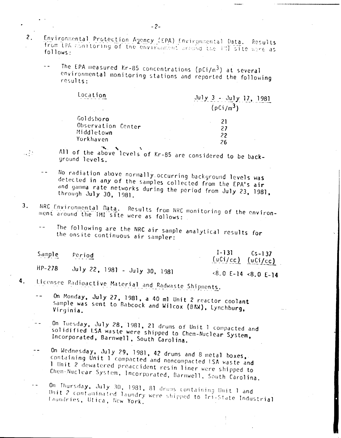- Environmental Protection Agency (EPA) Environmental Data. Results  $2.$ from EPA contioning of the environment around the UH site were as follows:
	- The EPA measured Kr-85 concentrations (pCi/m<sup>3</sup>) at several environmental monitoring stations and reported the following results:

| Location                        | $\frac{\text{July } 3 - \text{ July } 17, 1981}{}$ |
|---------------------------------|----------------------------------------------------|
|                                 | (pCi/m <sup>3</sup> )                              |
| Goldsboro<br>Observation Center | 21<br>27                                           |
| Middletown<br>Yorkhaven         | 22<br>26                                           |
|                                 |                                                    |

All of the above levels of Kr-85 are considered to be background levels.

- No radiation above normally occurring background levels was detected in any of the samples collected from the EPA's air and gamma rate networks during the period from July 23, 1981, through July 30, 1981.
- NRC Environmental Data.  $3<sub>1</sub>$ Results from NRC monitoring of the environment around the TMI site were as follows:
	- The following are the NRC air sample analytical results for the onsite continuous air sampler:

Sample Period

 $\mathcal{L}_{\text{max}}$ 

 $1 - 131$  $Cs - 137$  $(uCi/cc)$   $(uCi/cc)$ 

July 22, 1981 - July 30, 1981  $HP-278$ 

 $8.0 E-14$   $8.0 E-14$ 

- Licensee Radioactive Material and Radwaste Shipments. 4.
	- On Monday, July 27, 1981, a 40 ml Unit 2 reactor coolant  $$ sample was sent to Babcock and Wilcox (B&W), Lynchburg, Virginia.
	- On Tuesday, July 28, 1981, 21 drums of Unit 1 compacted and solidified LSA waste were shipped to Chem-Nuclear System, Incorporated, Barnwell, South Carolina.
	- On Wednesday, July 29, 1981, 42 drums and 8 metal boxes,  $$ containing Unit 1 compacted and noncompacted USA waste and 1 Unit 2 dewatered preaccident resin liner were shipped to Chem-Nuclear System, Incorporated, Barnwell, South Carolina.
	- On Thursday, July 30, 1981, 81 drums containing Unit 1 and  $\overline{a}$ Unit 2 contaminated laundry were shipped to Tri-State Industrial laundries, Utica, New York.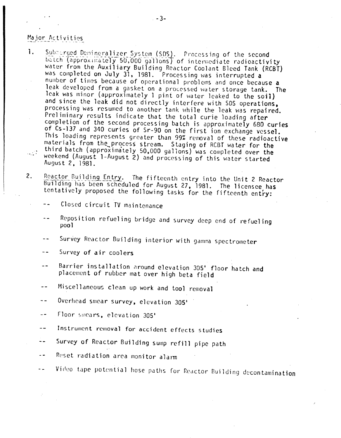## Major Activities

- Submarged Demineralizer System (SDS). Processing of the second  $\mathbf{1}$ . batch (approximately 50,000 gallons) of intermediate radioactivity water from the Auxiliary Building Reactor Coolant Bleed Tank (RCBT) was completed on July 31, 1981. Processing was interrupted a number of times because of operational problems and once because a leak developed from a gasket on a processed water storage tank. The leak was minor (approximately 1 pint of water leaked to the soil) and since the leak did not directly interfere with SDS operations, processing was resumed to another tank while the leak was repaired. Preliminary results indicate that the total curie loading after completion of the second processing batch is approximately 680 curies of Cs-137 and 340 curies of Sr-90 on the first ion exchange vessel. This loading represents greater than 99% removal of these radioactive materials from the process stream. Staging of RCBT water for the third batch (approximately 50,000 gallons) was completed over the  $\mathcal{L} \subset \mathcal{L}$ weekend (August 1-August 2) and processing of this water started August 2, 1981.
- $2.$ Reactor Building Entry. The fifteenth entry into the Unit 2 Reactor Building has been scheduled for August 27, 1981. The licensee has tentatively proposed the following tasks for the fifteenth entry:

Closed circuit TV maintenance

- Reposition refueling bridge and survey deep end of refueling  $pool$
- Survey Reactor Building interior with gamma spectrometer  $\sim$   $\sim$
- Survey of air coolers  $- -$
- Barrier installation around elevation 305' floor hatch and placement of rubber mat over high beta field
- Miscellaneous clean up work and tool removal  $-$
- Overhead smear survey, elevation 305'  $-$
- Floor smears, elevation 305'  $-$
- Instrument removal for accident effects studies
- Survey of Reactor Building sump refill pipe path  $-$
- Reset radiation area monitor alarm
- Video tape potential hose paths for Reactor Building decontamination - -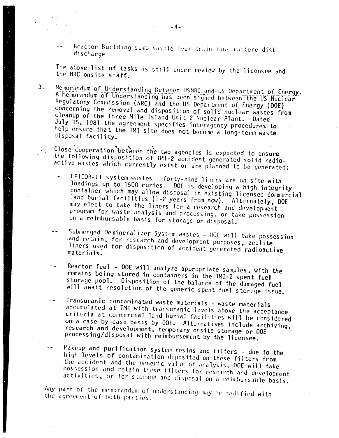Reactor Building sump sample near drain tank ropture disk discharge

The above list of tasks is still under review by the licensee and the NRC onsite staff.

 $3<sub>1</sub>$ Memorandum of Understanding Between USNRC and US Department of Energy. A Memorandum of Understanding has been signed between the US Nuclear Regulatory Commission (NRC) and the US Department of Energy (DOE) concerning the removal and disposition of solid nuclear wastes from cleanup of the Three Mile Island Unit 2 Nuclear Plant. Dated July 15, 1981 the agreement specifies interagency procedures to help ensure that the TMI site does not become a long-term waste disposal facility.

Close cooperation between the two agencies is expected to ensure the following disposition of TMI-2 accident generated solid radioactive wastes which currently exist or are planned to be generated:

- EPICOR-II system wastes forty-nine liners are on site with loadings up to 1500 curies. DOE is developing a high integrity container which may allow disposal in existing licensed commercial land burial facilities (1-2 years from now). Alternately, DOE may elect to take the liners for a research and development program for waste analysis and processing, or take possession on a reimbursable basis for storage or disposal.
- Submerged Demineralizer System wastes DOE will take possession and retain, for research and development purposes, zeolite liners used for disposition of accident generated radioactive materials.
- Reactor fuel DOE will analyze appropriate samples, with the remains being stored in containers in the TMI-2 spent fuel storage pool. Disposition of the balance of the damaged fuel will await resolution of the generic spent fuel storage issue.
- Transuranic contaminated waste materials waste materials accumulated at TMI with transuranic levels above the acceptance criteria at commercial land burial facilities will be considered on a case-by-case basis by DOE. Alternatives include archiving. research and development, temporary onsite storage or DOE processing/disposal with reimbursement by the licensee.
- Makeup and purification system resins and filters due to the high levels of contamination deposited on these filters from the accident and the generic value of analysis, DOE will take possession and retain these filters for research and development activities, or for storage and disposal on a reimbursable basis.

Any part of the memorandum of understanding may be modified with the agreement of both parties.